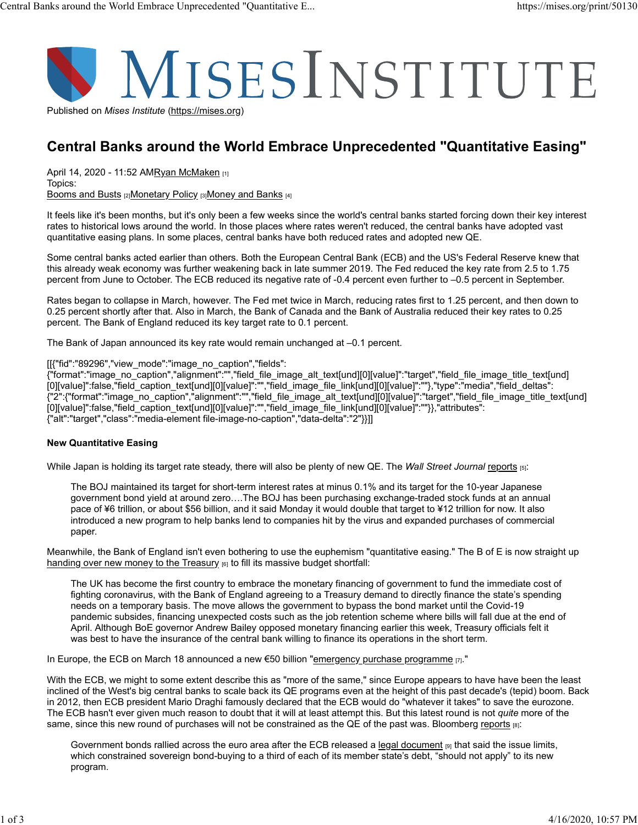

# Central Banks around the World Embrace Unprecedented "Quantitative Easing"

April 14, 2020 - 11:52 AMRyan McMaken [1] Topics: Booms and Busts [2] Monetary Policy [3] Money and Banks [4]

It feels like it's been months, but it's only been a few weeks since the world's central banks started forcing down their key interest rates to historical lows around the world. In those places where rates weren't reduced, the central banks have adopted vast quantitative easing plans. In some places, central banks have both reduced rates and adopted new QE.

Some central banks acted earlier than others. Both the European Central Bank (ECB) and the US's Federal Reserve knew that this already weak economy was further weakening back in late summer 2019. The Fed reduced the key rate from 2.5 to 1.75 percent from June to October. The ECB reduced its negative rate of -0.4 percent even further to –0.5 percent in September.

Rates began to collapse in March, however. The Fed met twice in March, reducing rates first to 1.25 percent, and then down to 0.25 percent shortly after that. Also in March, the Bank of Canada and the Bank of Australia reduced their key rates to 0.25 percent. The Bank of England reduced its key target rate to 0.1 percent.

The Bank of Japan announced its key rate would remain unchanged at –0.1 percent.

[[{"fid":"89296","view\_mode":"image\_no\_caption","fields":

{"format":"image\_no\_caption","alignment":"","field\_file\_image\_alt\_text[und][0][value]":"target","field\_file\_image\_title\_text[und] [0][value]":false,"field\_caption\_text[und][0][value]":"","field\_image\_file\_link[und][0][value]":""},"type":"media","field\_deltas": {"2":{"format":"image\_no\_caption","alignment":"","field\_file\_image\_alt\_text[und][0][value]":"target","field\_file\_image\_title\_text[und] [0][value]":false,"field\_caption\_text[und][0][value]":"","field\_image\_file\_link[und][0][value]":""}},"attributes": {"alt":"target","class":"media-element file-image-no-caption","data-delta":"2"}}]]

### New Quantitative Easing

While Japan is holding its target rate steady, there will also be plenty of new QE. The Wall Street Journal reports [5]:

The BOJ maintained its target for short-term interest rates at minus 0.1% and its target for the 10-year Japanese government bond yield at around zero….The BOJ has been purchasing exchange-traded stock funds at an annual pace of ¥6 trillion, or about \$56 billion, and it said Monday it would double that target to ¥12 trillion for now. It also introduced a new program to help banks lend to companies hit by the virus and expanded purchases of commercial paper.

Meanwhile, the Bank of England isn't even bothering to use the euphemism "quantitative easing." The B of E is now straight up handing over new money to the Treasury  $_{[6]}$  to fill its massive budget shortfall:

The UK has become the first country to embrace the monetary financing of government to fund the immediate cost of fighting coronavirus, with the Bank of England agreeing to a Treasury demand to directly finance the state's spending needs on a temporary basis. The move allows the government to bypass the bond market until the Covid-19 pandemic subsides, financing unexpected costs such as the job retention scheme where bills will fall due at the end of April. Although BoE governor Andrew Bailey opposed monetary financing earlier this week, Treasury officials felt it was best to have the insurance of the central bank willing to finance its operations in the short term.

In Europe, the ECB on March 18 announced a new  $\epsilon$ 50 billion "emergency purchase programme  $_{[7]}$ ."

With the ECB, we might to some extent describe this as "more of the same," since Europe appears to have have been the least inclined of the West's big central banks to scale back its QE programs even at the height of this past decade's (tepid) boom. Back in 2012, then ECB president Mario Draghi famously declared that the ECB would do "whatever it takes" to save the eurozone. The ECB hasn't ever given much reason to doubt that it will at least attempt this. But this latest round is not quite more of the same, since this new round of purchases will not be constrained as the QE of the past was. Bloomberg reports [8]:

Government bonds rallied across the euro area after the ECB released a legal document  $_{[9]}$  that said the issue limits, which constrained sovereign bond-buying to a third of each of its member state's debt, "should not apply" to its new program.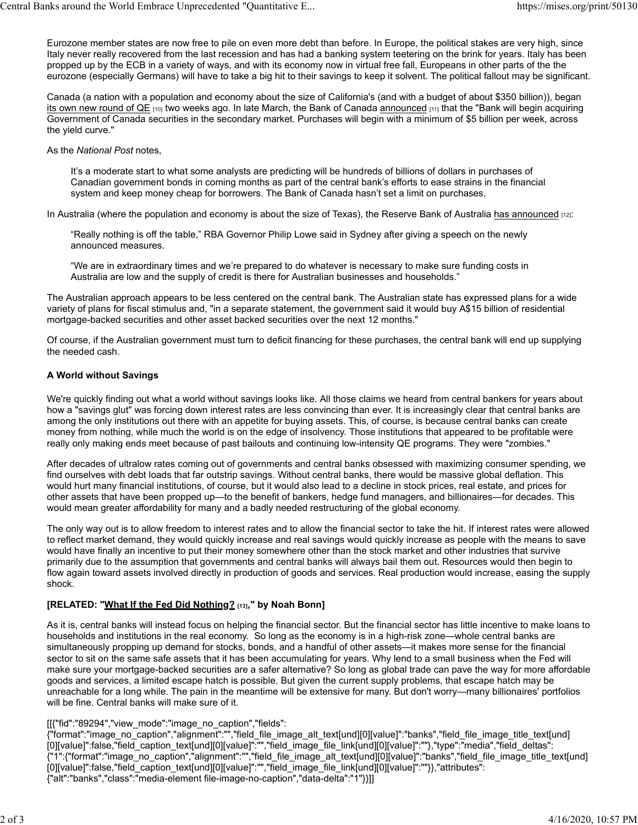Eurozone member states are now free to pile on even more debt than before. In Europe, the political stakes are very high, since Italy never really recovered from the last recession and has had a banking system teetering on the brink for years. Italy has been propped up by the ECB in a variety of ways, and with its economy now in virtual free fall, Europeans in other parts of the the eurozone (especially Germans) will have to take a big hit to their savings to keep it solvent. The political fallout may be significant. Central Banks around the World Embrace Unprecedented "Quantitative E... https://mises.org/print/50130<br>Eurozone member states are now free to pile on even more debt than before. In Europe, the political stakes are very high

Canada (a nation with a population and economy about the size of California's (and with a budget of about \$350 billion)), began its own new round of QE [10] two weeks ago. In late March, the Bank of Canada announced [11] that the "Bank will begin acquiring Government of Canada securities in the secondary market. Purchases will begin with a minimum of \$5 billion per week, across the yield curve."

As the National Post notes,

It's a moderate start to what some analysts are predicting will be hundreds of billions of dollars in purchases of Canadian government bonds in coming months as part of the central bank's efforts to ease strains in the financial system and keep money cheap for borrowers. The Bank of Canada hasn't set a limit on purchases.

In Australia (where the population and economy is about the size of Texas), the Reserve Bank of Australia has announced  $_{[12]}$ :

"Really nothing is off the table," RBA Governor Philip Lowe said in Sydney after giving a speech on the newly announced measures.

"We are in extraordinary times and we're prepared to do whatever is necessary to make sure funding costs in Australia are low and the supply of credit is there for Australian businesses and households."

The Australian approach appears to be less centered on the central bank. The Australian state has expressed plans for a wide variety of plans for fiscal stimulus and, "in a separate statement, the government said it would buy A\$15 billion of residential mortgage-backed securities and other asset backed securities over the next 12 months."

Of course, if the Australian government must turn to deficit financing for these purchases, the central bank will end up supplying the needed cash.

## A World without Savings

We're quickly finding out what a world without savings looks like. All those claims we heard from central bankers for years about how a "savings glut" was forcing down interest rates are less convincing than ever. It is increasingly clear that central banks are among the only institutions out there with an appetite for buying assets. This, of course, is because central banks can create money from nothing, while much the world is on the edge of insolvency. Those institutions that appeared to be profitable were really only making ends meet because of past bailouts and continuing low-intensity QE programs. They were "zombies."

After decades of ultralow rates coming out of governments and central banks obsessed with maximizing consumer spending, we find ourselves with debt loads that far outstrip savings. Without central banks, there would be massive global deflation. This would hurt many financial institutions, of course, but it would also lead to a decline in stock prices, real estate, and prices for other assets that have been propped up—to the benefit of bankers, hedge fund managers, and billionaires—for decades. This would mean greater affordability for many and a badly needed restructuring of the global economy.

The only way out is to allow freedom to interest rates and to allow the financial sector to take the hit. If interest rates were allowed to reflect market demand, they would quickly increase and real savings would quickly increase as people with the means to save would have finally an incentive to put their money somewhere other than the stock market and other industries that survive primarily due to the assumption that governments and central banks will always bail them out. Resources would then begin to flow again toward assets involved directly in production of goods and services. Real production would increase, easing the supply shock.

# [RELATED: "What If the Fed Did Nothing? [13]," by Noah Bonn]

As it is, central banks will instead focus on helping the financial sector. But the financial sector has little incentive to make loans to households and institutions in the real economy. So long as the economy is in a high-risk zone—whole central banks are simultaneously propping up demand for stocks, bonds, and a handful of other assets—it makes more sense for the financial sector to sit on the same safe assets that it has been accumulating for years. Why lend to a small business when the Fed will make sure your mortgage-backed securities are a safer alternative? So long as global trade can pave the way for more affordable goods and services, a limited escape hatch is possible. But given the current supply problems, that escape hatch may be unreachable for a long while. The pain in the meantime will be extensive for many. But don't worry—many billionaires' portfolios will be fine. Central banks will make sure of it.

### [[{"fid":"89294","view\_mode":"image\_no\_caption","fields":

{"format":"image\_no\_caption","alignment":"","field\_file\_image\_alt\_text[und][0][value]":"banks","field\_file\_image\_title\_text[und] [0][value]":false,"field\_caption\_text[und][0][value]":"","field\_image\_file\_link[und][0][value]":""},"type":"media","field\_deltas": {"1":{"format":"image\_no\_caption","alignment":"","field\_file\_image\_alt\_text[und][0][value]":"banks","field\_file\_image\_title\_text[und] [0][value]":false,"field\_caption\_text[und][0][value]":"","field\_image\_file\_link[und][0][value]":""}},"attributes": {"alt":"banks","class":"media-element file-image-no-caption","data-delta":"1"}}]]